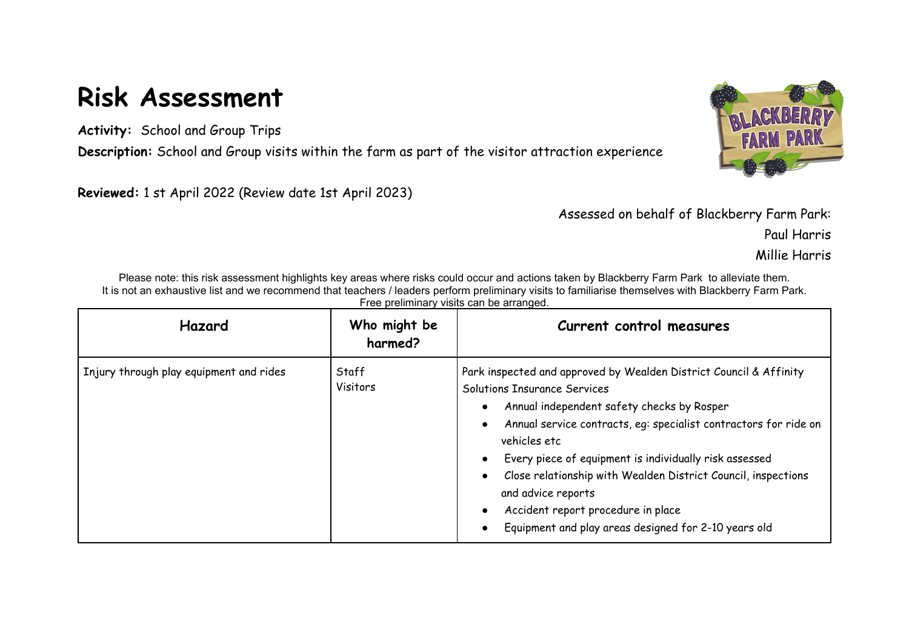## **Risk Assessment**

**Activity:** School and Group Trips

**Description:** School and Group visits within the farm as part of the visitor attraction experience

**Reviewed:** 1 st April 2022 (Review date 1st April 2023)



Assessed on behalf of Blackberry Farm Park:

Paul Harris

Millie Harris

Please note: this risk assessment highlights key areas where risks could occur and actions taken by Blackberry Farm Park to alleviate them. It is not an exhaustive list and we recommend that teachers / leaders perform preliminary visits to familiarise themselves with Blackberry Farm Park. Free preliminary visits can be arranged.

| Hazard                                  | Who might be<br>harmed? | Current control measures                                                                                                                                                                                                                                                                                                                                                                                                                                                                         |
|-----------------------------------------|-------------------------|--------------------------------------------------------------------------------------------------------------------------------------------------------------------------------------------------------------------------------------------------------------------------------------------------------------------------------------------------------------------------------------------------------------------------------------------------------------------------------------------------|
| Injury through play equipment and rides | Staff<br>Visitors       | Park inspected and approved by Wealden District Council & Affinity<br>Solutions Insurance Services<br>Annual independent safety checks by Rosper<br>Annual service contracts, eg: specialist contractors for ride on<br>vehicles etc<br>Every piece of equipment is individually risk assessed<br>$\bullet$<br>Close relationship with Wealden District Council, inspections<br>and advice reports<br>Accident report procedure in place<br>Equipment and play areas designed for 2-10 years old |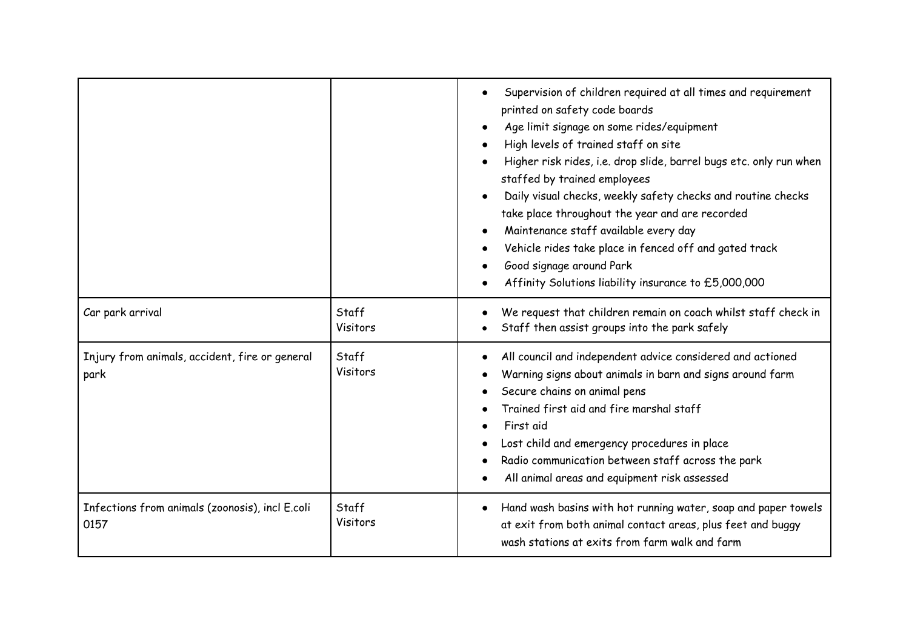|                                                         |                   | Supervision of children required at all times and requirement<br>printed on safety code boards<br>Age limit signage on some rides/equipment<br>High levels of trained staff on site<br>Higher risk rides, i.e. drop slide, barrel bugs etc. only run when<br>staffed by trained employees<br>Daily visual checks, weekly safety checks and routine checks<br>take place throughout the year and are recorded<br>Maintenance staff available every day<br>Vehicle rides take place in fenced off and gated track<br>Good signage around Park<br>Affinity Solutions liability insurance to £5,000,000 |
|---------------------------------------------------------|-------------------|-----------------------------------------------------------------------------------------------------------------------------------------------------------------------------------------------------------------------------------------------------------------------------------------------------------------------------------------------------------------------------------------------------------------------------------------------------------------------------------------------------------------------------------------------------------------------------------------------------|
| Car park arrival                                        | Staff<br>Visitors | We request that children remain on coach whilst staff check in<br>Staff then assist groups into the park safely                                                                                                                                                                                                                                                                                                                                                                                                                                                                                     |
| Injury from animals, accident, fire or general<br>park  | Staff<br>Visitors | All council and independent advice considered and actioned<br>Warning signs about animals in barn and signs around farm<br>Secure chains on animal pens<br>Trained first aid and fire marshal staff<br>First aid<br>Lost child and emergency procedures in place<br>Radio communication between staff across the park<br>All animal areas and equipment risk assessed                                                                                                                                                                                                                               |
| Infections from animals (zoonosis), incl E.coli<br>0157 | Staff<br>Visitors | Hand wash basins with hot running water, soap and paper towels<br>at exit from both animal contact areas, plus feet and buggy<br>wash stations at exits from farm walk and farm                                                                                                                                                                                                                                                                                                                                                                                                                     |